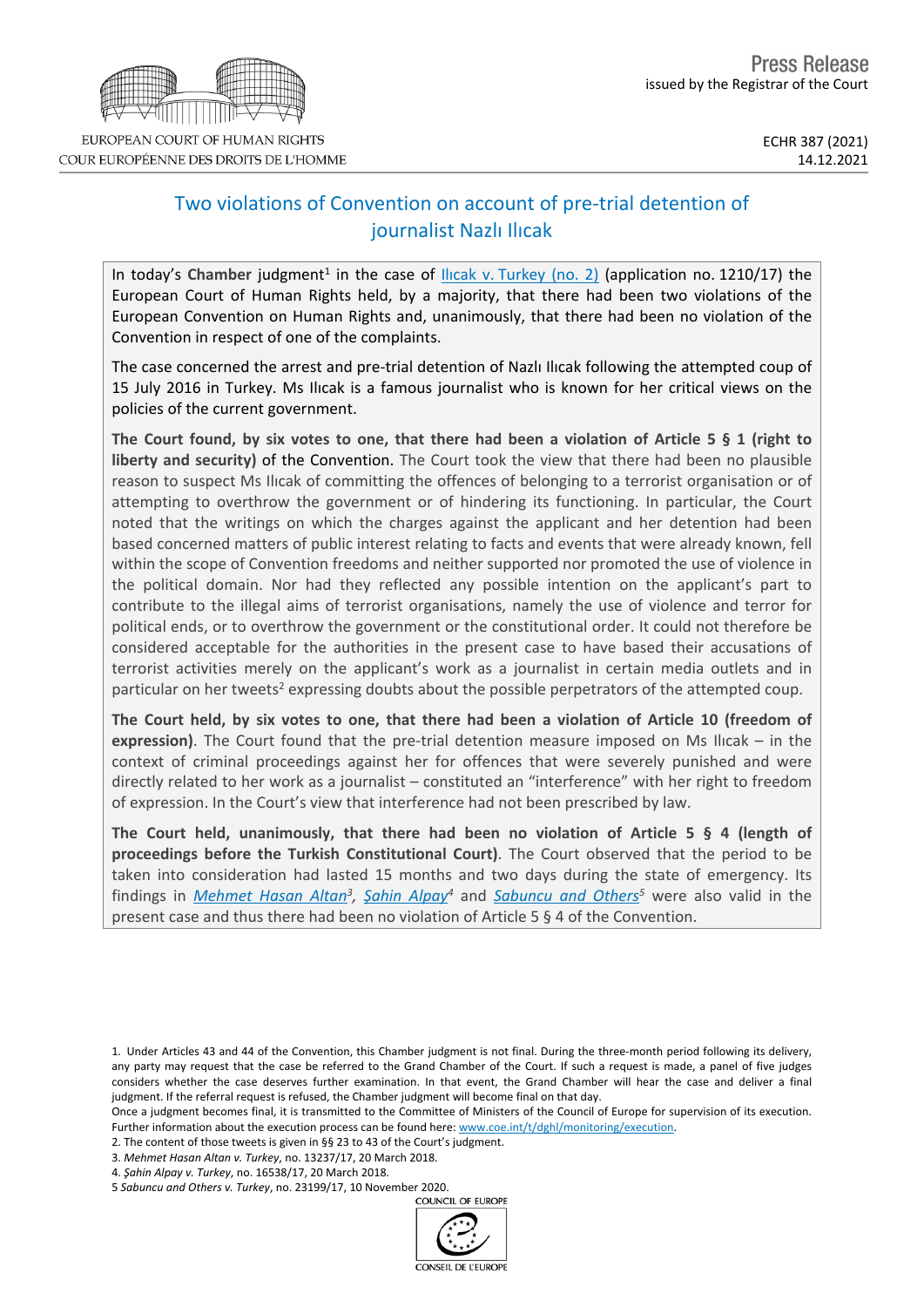# Two violations of Convention on account of pre-trial detention of journalist Nazlı Ilıcak

In today's Chamber judgment<sup>1</sup> in the case of **Ilicak v. [Turkey](https://hudoc.echr.coe.int/eng?i=001-214483) (no. 2)** (application no. 1210/17) the European Court of Human Rights held, by a majority, that there had been two violations of the European Convention on Human Rights and, unanimously, that there had been no violation of the Convention in respect of one of the complaints.

The case concerned the arrest and pre-trial detention of Nazlı Ilıcak following the attempted coup of 15 July 2016 in Turkey. Ms Ilıcak is a famous journalist who is known for her critical views on the policies of the current government.

The Court found, by six votes to one, that there had been a violation of Article 5  $\S$  1 (right to **liberty and security)** of the Convention. The Court took the view that there had been no plausible reason to suspect Ms Ilıcak of committing the offences of belonging to a terrorist organisation or of attempting to overthrow the government or of hindering its functioning. In particular, the Court noted that the writings on which the charges against the applicant and her detention had been based concerned matters of public interest relating to facts and events that were already known, fell within the scope of Convention freedoms and neither supported nor promoted the use of violence in the political domain. Nor had they reflected any possible intention on the applicant's part to contribute to the illegal aims of terrorist organisations, namely the use of violence and terror for political ends, or to overthrow the government or the constitutional order. It could not therefore be considered acceptable for the authorities in the present case to have based their accusations of terrorist activities merely on the applicant's work as a journalist in certain media outlets and in particular on her tweets<sup>2</sup> expressing doubts about the possible perpetrators of the attempted coup.

The Court held, by six votes to one, that there had been a violation of Article 10 (freedom of **expression)**. The Court found that the pre-trial detention measure imposed on Ms Ilıcak – in the context of criminal proceedings against her for offences that were severely punished and were directly related to her work as a journalist – constituted an "interference" with her right to freedom of expression. In the Court's view that interference had not been prescribed by law.

**The Court held, unanimously, that there had been no violation of Article 5 § 4 (length of proceedings before the Turkish Constitutional Court)**. The Court observed that the period to be taken into consideration had lasted 15 months and two days during the state of emergency. Its findings in *[Mehmet](https://hudoc.echr.coe.int/eng?i=001-181862) Hasan Altan<sup>3</sup>, Şahin [Alpay](https://hudoc.echr.coe.int/eng?i=001-181866)*<sup>4</sup> and *[Sabuncu](https://hudoc.echr.coe.int/eng?i=001-206212) and Others*<sup>5</sup> were also valid in the present case and thus there had been no violation of Article 5 § 4 of the Convention.

<sup>5</sup> *Sabuncu and Others v. Turkey*, no. 23199/17, 10 November 2020.





<sup>1.</sup> Under Articles 43 and 44 of the Convention, this Chamber judgment is not final. During the three-month period following its delivery, any party may request that the case be referred to the Grand Chamber of the Court. If such a request is made, a panel of five judges considers whether the case deserves further examination. In that event, the Grand Chamber will hear the case and deliver a final judgment. If the referral request is refused, the Chamber judgment will become final on that day.

Once a judgment becomes final, it is transmitted to the Committee of Ministers of the Council of Europe for supervision of its execution. Further information about the execution process can be found here: [www.coe.int/t/dghl/monitoring/execution](http://www.coe.int/t/dghl/monitoring/execution).

<sup>2.</sup> The content of those tweets is given in §§ 23 to 43 of the Court's judgment.

<sup>3.</sup> *Mehmet Hasan Altan v. Turkey*, no. 13237/17, 20 March 2018.

<sup>4.</sup> *Şahin Alpay v. Turkey*, no. 16538/17, 20 March 2018.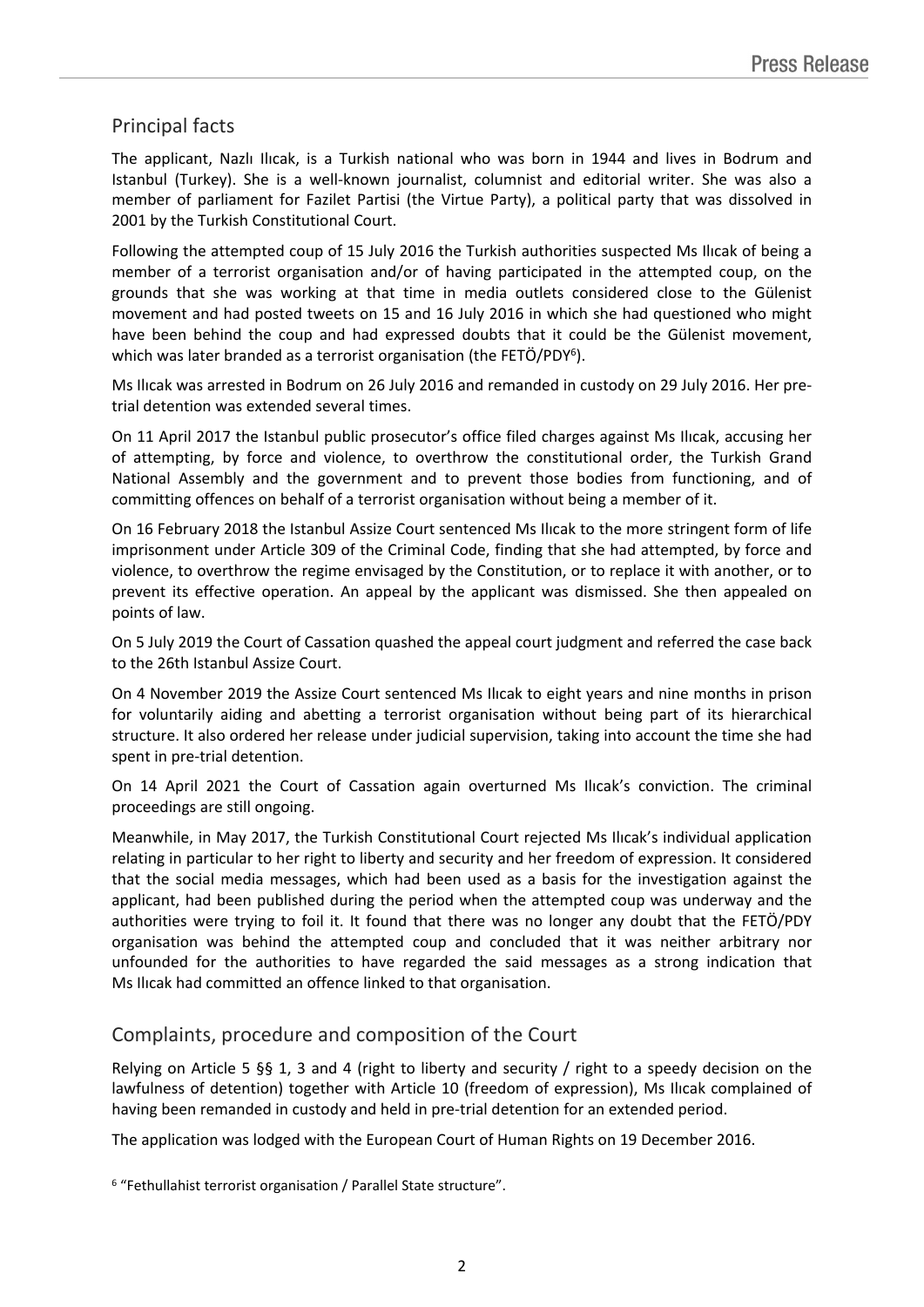# Principal facts

The applicant, Nazlı Ilıcak, is a Turkish national who was born in 1944 and lives in Bodrum and Istanbul (Turkey). She is a well-known journalist, columnist and editorial writer. She was also a member of parliament for Fazilet Partisi (the Virtue Party), a political party that was dissolved in 2001 by the Turkish Constitutional Court.

Following the attempted coup of 15 July 2016 the Turkish authorities suspected Ms Ilıcak of being a member of a terrorist organisation and/or of having participated in the attempted coup, on the grounds that she was working at that time in media outlets considered close to the Gülenist movement and had posted tweets on 15 and 16 July 2016 in which she had questioned who might have been behind the coup and had expressed doubts that it could be the Gülenist movement, which was later branded as a terrorist organisation (the FETÖ/PDY<sup>6</sup>).

Ms Ilıcak was arrested in Bodrum on 26 July 2016 and remanded in custody on 29 July 2016. Her pretrial detention was extended several times.

On 11 April 2017 the Istanbul public prosecutor's office filed charges against Ms Ilıcak, accusing her of attempting, by force and violence, to overthrow the constitutional order, the Turkish Grand National Assembly and the government and to prevent those bodies from functioning, and of committing offences on behalf of a terrorist organisation without being a member of it.

On 16 February 2018 the Istanbul Assize Court sentenced Ms Ilıcak to the more stringent form of life imprisonment under Article 309 of the Criminal Code, finding that she had attempted, by force and violence, to overthrow the regime envisaged by the Constitution, or to replace it with another, or to prevent its effective operation. An appeal by the applicant was dismissed. She then appealed on points of law.

On 5 July 2019 the Court of Cassation quashed the appeal court judgment and referred the case back to the 26th Istanbul Assize Court.

On 4 November 2019 the Assize Court sentenced Ms Ilıcak to eight years and nine months in prison for voluntarily aiding and abetting a terrorist organisation without being part of its hierarchical structure. It also ordered her release under judicial supervision, taking into account the time she had spent in pre-trial detention.

On 14 April 2021 the Court of Cassation again overturned Ms Ilıcak's conviction. The criminal proceedings are still ongoing.

Meanwhile, in May 2017, the Turkish Constitutional Court rejected Ms Ilıcak's individual application relating in particular to her right to liberty and security and her freedom of expression. It considered that the social media messages, which had been used as a basis for the investigation against the applicant, had been published during the period when the attempted coup was underway and the authorities were trying to foil it. It found that there was no longer any doubt that the FETÖ/PDY organisation was behind the attempted coup and concluded that it was neither arbitrary nor unfounded for the authorities to have regarded the said messages as a strong indication that Ms Ilıcak had committed an offence linked to that organisation.

## Complaints, procedure and composition of the Court

Relying on Article 5 §§ 1, 3 and 4 (right to liberty and security / right to a speedy decision on the lawfulness of detention) together with Article 10 (freedom of expression), Ms Ilıcak complained of having been remanded in custody and held in pre-trial detention for an extended period.

The application was lodged with the European Court of Human Rights on 19 December 2016.

<sup>6</sup> "Fethullahist terrorist organisation / Parallel State structure".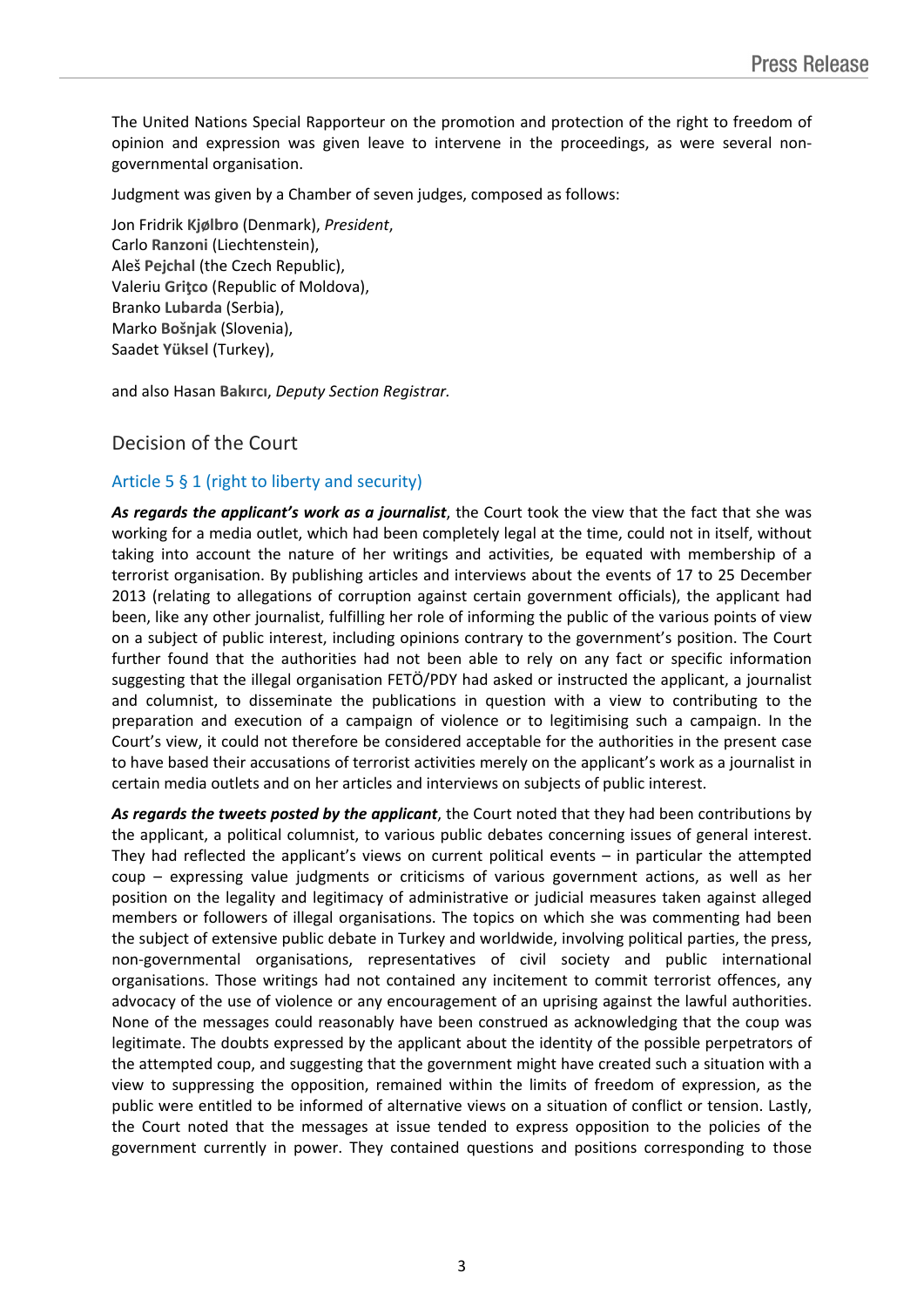The United Nations Special Rapporteur on the promotion and protection of the right to freedom of opinion and expression was given leave to intervene in the proceedings, as were several nongovernmental organisation.

Judgment was given by a Chamber of seven judges, composed as follows:

Jon Fridrik **Kjølbro** (Denmark), *President*, Carlo **Ranzoni** (Liechtenstein), Aleš **Pejchal** (the Czech Republic), Valeriu **Griţco** (Republic of Moldova), Branko **Lubarda** (Serbia), Marko **Bošnjak** (Slovenia), Saadet **Yüksel** (Turkey),

and also Hasan **Bakırcı**, *Deputy Section Registrar.*

## Decision of the Court

### Article 5 § 1 (right to liberty and security)

*As regards the applicant's work as a journalist*, the Court took the view that the fact that she was working for a media outlet, which had been completely legal at the time, could not in itself, without taking into account the nature of her writings and activities, be equated with membership of a terrorist organisation. By publishing articles and interviews about the events of 17 to 25 December 2013 (relating to allegations of corruption against certain government officials), the applicant had been, like any other journalist, fulfilling her role of informing the public of the various points of view on a subject of public interest, including opinions contrary to the government's position. The Court further found that the authorities had not been able to rely on any fact or specific information suggesting that the illegal organisation FETÖ/PDY had asked or instructed the applicant, a journalist and columnist, to disseminate the publications in question with a view to contributing to the preparation and execution of a campaign of violence or to legitimising such a campaign. In the Court's view, it could not therefore be considered acceptable for the authorities in the present case to have based their accusations of terrorist activities merely on the applicant's work as a journalist in certain media outlets and on her articles and interviews on subjects of public interest.

*As regards the tweets posted by the applicant*, the Court noted that they had been contributions by the applicant, a political columnist, to various public debates concerning issues of general interest. They had reflected the applicant's views on current political events – in particular the attempted coup – expressing value judgments or criticisms of various government actions, as well as her position on the legality and legitimacy of administrative or judicial measures taken against alleged members or followers of illegal organisations. The topics on which she was commenting had been the subject of extensive public debate in Turkey and worldwide, involving political parties, the press, non-governmental organisations, representatives of civil society and public international organisations. Those writings had not contained any incitement to commit terrorist offences, any advocacy of the use of violence or any encouragement of an uprising against the lawful authorities. None of the messages could reasonably have been construed as acknowledging that the coup was legitimate. The doubts expressed by the applicant about the identity of the possible perpetrators of the attempted coup, and suggesting that the government might have created such a situation with a view to suppressing the opposition, remained within the limits of freedom of expression, as the public were entitled to be informed of alternative views on a situation of conflict or tension. Lastly, the Court noted that the messages at issue tended to express opposition to the policies of the government currently in power. They contained questions and positions corresponding to those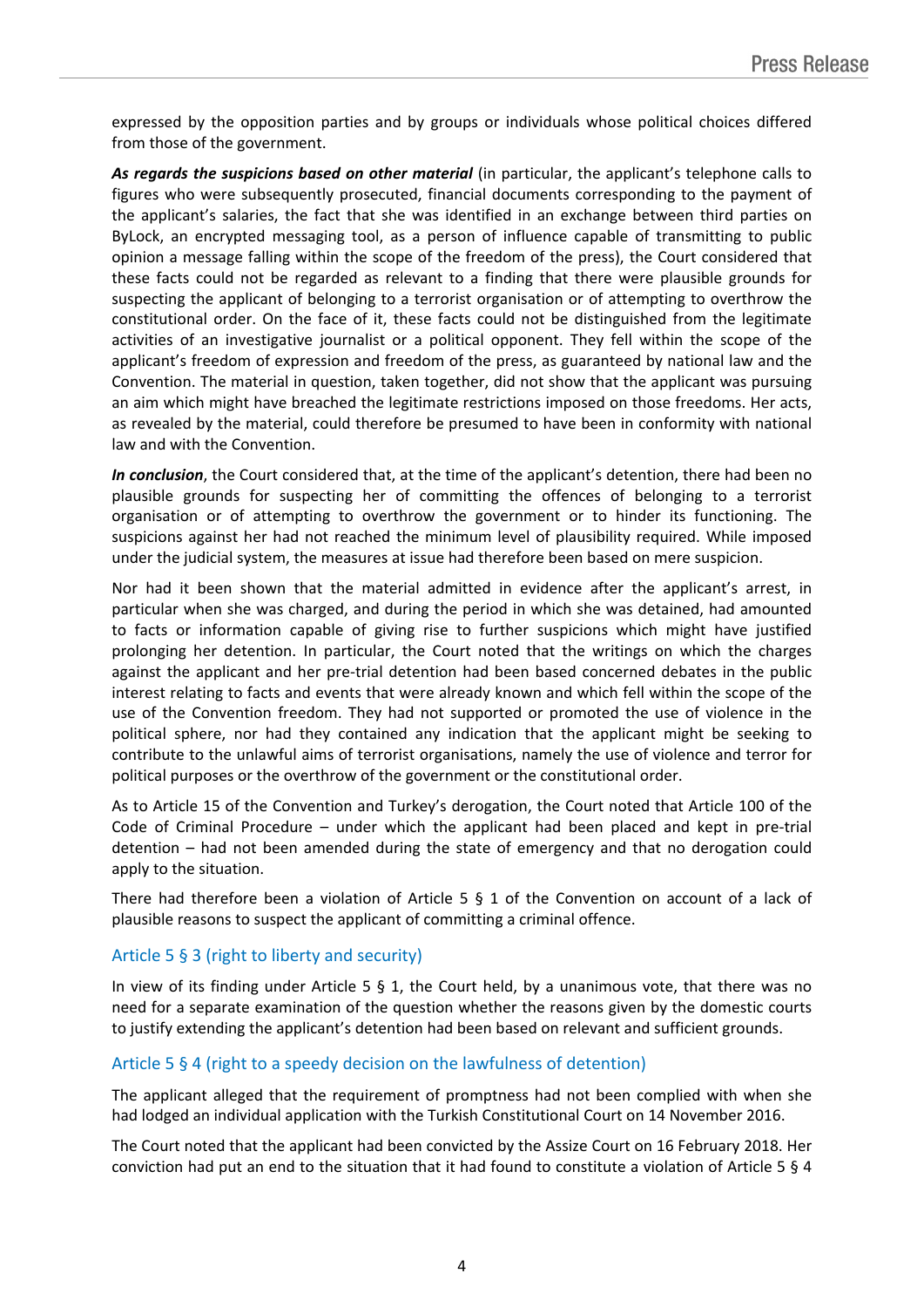expressed by the opposition parties and by groups or individuals whose political choices differed from those of the government.

*As regards the suspicions based on other material* (in particular, the applicant's telephone calls to figures who were subsequently prosecuted, financial documents corresponding to the payment of the applicant's salaries, the fact that she was identified in an exchange between third parties on ByLock, an encrypted messaging tool, as a person of influence capable of transmitting to public opinion a message falling within the scope of the freedom of the press), the Court considered that these facts could not be regarded as relevant to a finding that there were plausible grounds for suspecting the applicant of belonging to a terrorist organisation or of attempting to overthrow the constitutional order. On the face of it, these facts could not be distinguished from the legitimate activities of an investigative journalist or a political opponent. They fell within the scope of the applicant's freedom of expression and freedom of the press, as guaranteed by national law and the Convention. The material in question, taken together, did not show that the applicant was pursuing an aim which might have breached the legitimate restrictions imposed on those freedoms. Her acts, as revealed by the material, could therefore be presumed to have been in conformity with national law and with the Convention.

*In conclusion*, the Court considered that, at the time of the applicant's detention, there had been no plausible grounds for suspecting her of committing the offences of belonging to a terrorist organisation or of attempting to overthrow the government or to hinder its functioning. The suspicions against her had not reached the minimum level of plausibility required. While imposed under the judicial system, the measures at issue had therefore been based on mere suspicion.

Nor had it been shown that the material admitted in evidence after the applicant's arrest, in particular when she was charged, and during the period in which she was detained, had amounted to facts or information capable of giving rise to further suspicions which might have justified prolonging her detention. In particular, the Court noted that the writings on which the charges against the applicant and her pre-trial detention had been based concerned debates in the public interest relating to facts and events that were already known and which fell within the scope of the use of the Convention freedom. They had not supported or promoted the use of violence in the political sphere, nor had they contained any indication that the applicant might be seeking to contribute to the unlawful aims of terrorist organisations, namely the use of violence and terror for political purposes or the overthrow of the government or the constitutional order.

As to Article 15 of the Convention and Turkey's derogation, the Court noted that Article 100 of the Code of Criminal Procedure – under which the applicant had been placed and kept in pre-trial detention – had not been amended during the state of emergency and that no derogation could apply to the situation.

There had therefore been a violation of Article 5 § 1 of the Convention on account of a lack of plausible reasons to suspect the applicant of committing a criminal offence.

#### Article 5 § 3 (right to liberty and security)

In view of its finding under Article 5  $\S$  1, the Court held, by a unanimous vote, that there was no need for a separate examination of the question whether the reasons given by the domestic courts to justify extending the applicant's detention had been based on relevant and sufficient grounds.

#### Article 5 § 4 (right to a speedy decision on the lawfulness of detention)

The applicant alleged that the requirement of promptness had not been complied with when she had lodged an individual application with the Turkish Constitutional Court on 14 November 2016.

The Court noted that the applicant had been convicted by the Assize Court on 16 February 2018. Her conviction had put an end to the situation that it had found to constitute a violation of Article 5 § 4